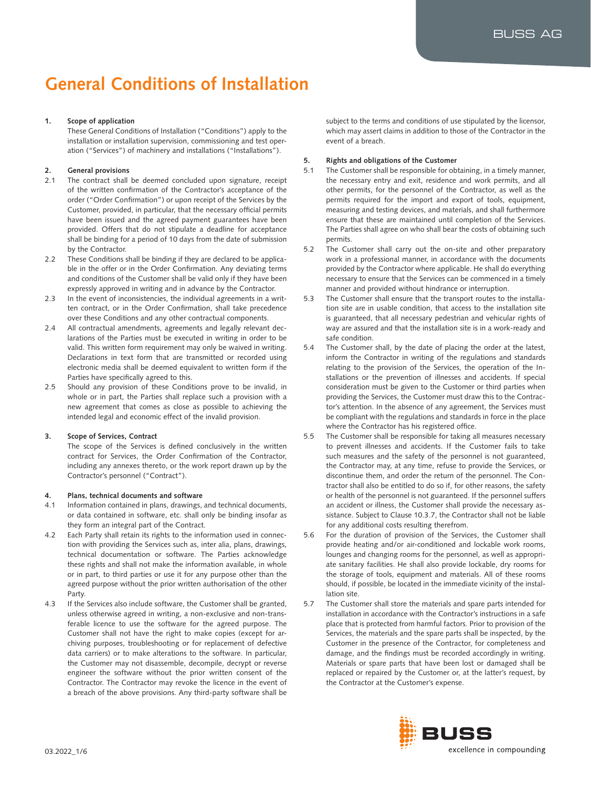# **General Conditions of Installation**

# **1. Scope of application**

These General Conditions of Installation ("Conditions") apply to the installation or installation supervision, commissioning and test operation ("Services") of machinery and installations ("Installations").

# **2. General provisions**

- 2.1 The contract shall be deemed concluded upon signature, receipt of the written confirmation of the Contractor's acceptance of the order ("Order Confirmation") or upon receipt of the Services by the Customer, provided, in particular, that the necessary official permits have been issued and the agreed payment guarantees have been provided. Offers that do not stipulate a deadline for acceptance shall be binding for a period of 10 days from the date of submission by the Contractor.
- 2.2 These Conditions shall be binding if they are declared to be applicable in the offer or in the Order Confirmation. Any deviating terms and conditions of the Customer shall be valid only if they have been expressly approved in writing and in advance by the Contractor.
- 2.3 In the event of inconsistencies, the individual agreements in a written contract, or in the Order Confirmation, shall take precedence over these Conditions and any other contractual components.
- 2.4 All contractual amendments, agreements and legally relevant declarations of the Parties must be executed in writing in order to be valid. This written form requirement may only be waived in writing. Declarations in text form that are transmitted or recorded using electronic media shall be deemed equivalent to written form if the Parties have specifically agreed to this.
- 2.5 Should any provision of these Conditions prove to be invalid, in whole or in part, the Parties shall replace such a provision with a new agreement that comes as close as possible to achieving the intended legal and economic effect of the invalid provision.

# **3. Scope of Services, Contract**

The scope of the Services is defined conclusively in the written contract for Services, the Order Confirmation of the Contractor, including any annexes thereto, or the work report drawn up by the Contractor's personnel ("Contract").

## **4. Plans, technical documents and software**

- 4.1 Information contained in plans, drawings, and technical documents, or data contained in software, etc. shall only be binding insofar as they form an integral part of the Contract.
- 4.2 Each Party shall retain its rights to the information used in connection with providing the Services such as, inter alia, plans, drawings, technical documentation or software. The Parties acknowledge these rights and shall not make the information available, in whole or in part, to third parties or use it for any purpose other than the agreed purpose without the prior written authorisation of the other Party.
- 4.3 If the Services also include software, the Customer shall be granted, unless otherwise agreed in writing, a non-exclusive and non-transferable licence to use the software for the agreed purpose. The Customer shall not have the right to make copies (except for archiving purposes, troubleshooting or for replacement of defective data carriers) or to make alterations to the software. In particular, the Customer may not disassemble, decompile, decrypt or reverse engineer the software without the prior written consent of the Contractor. The Contractor may revoke the licence in the event of a breach of the above provisions. Any third-party software shall be

subject to the terms and conditions of use stipulated by the licensor, which may assert claims in addition to those of the Contractor in the event of a breach.

## **5. Rights and obligations of the Customer**

- 5.1 The Customer shall be responsible for obtaining, in a timely manner, the necessary entry and exit, residence and work permits, and all other permits, for the personnel of the Contractor, as well as the permits required for the import and export of tools, equipment, measuring and testing devices, and materials, and shall furthermore ensure that these are maintained until completion of the Services. The Parties shall agree on who shall bear the costs of obtaining such permits.
- 5.2 The Customer shall carry out the on-site and other preparatory work in a professional manner, in accordance with the documents provided by the Contractor where applicable. He shall do everything necessary to ensure that the Services can be commenced in a timely manner and provided without hindrance or interruption.
- 5.3 The Customer shall ensure that the transport routes to the installation site are in usable condition, that access to the installation site is guaranteed, that all necessary pedestrian and vehicular rights of way are assured and that the installation site is in a work-ready and safe condition.
- 5.4 The Customer shall, by the date of placing the order at the latest, inform the Contractor in writing of the regulations and standards relating to the provision of the Services, the operation of the Installations or the prevention of illnesses and accidents. If special consideration must be given to the Customer or third parties when providing the Services, the Customer must draw this to the Contractor's attention. In the absence of any agreement, the Services must be compliant with the regulations and standards in force in the place where the Contractor has his registered office.
- 5.5 The Customer shall be responsible for taking all measures necessary to prevent illnesses and accidents. If the Customer fails to take such measures and the safety of the personnel is not guaranteed, the Contractor may, at any time, refuse to provide the Services, or discontinue them, and order the return of the personnel. The Contractor shall also be entitled to do so if, for other reasons, the safety or health of the personnel is not guaranteed. If the personnel suffers an accident or illness, the Customer shall provide the necessary assistance. Subject to Clause 10.3.7, the Contractor shall not be liable for any additional costs resulting therefrom.
- 5.6 For the duration of provision of the Services, the Customer shall provide heating and/or air-conditioned and lockable work rooms, lounges and changing rooms for the personnel, as well as appropriate sanitary facilities. He shall also provide lockable, dry rooms for the storage of tools, equipment and materials. All of these rooms should, if possible, be located in the immediate vicinity of the installation site.
- 5.7 The Customer shall store the materials and spare parts intended for installation in accordance with the Contractor's instructions in a safe place that is protected from harmful factors. Prior to provision of the Services, the materials and the spare parts shall be inspected, by the Customer in the presence of the Contractor, for completeness and damage, and the findings must be recorded accordingly in writing. Materials or spare parts that have been lost or damaged shall be replaced or repaired by the Customer or, at the latter's request, by the Contractor at the Customer's expense.

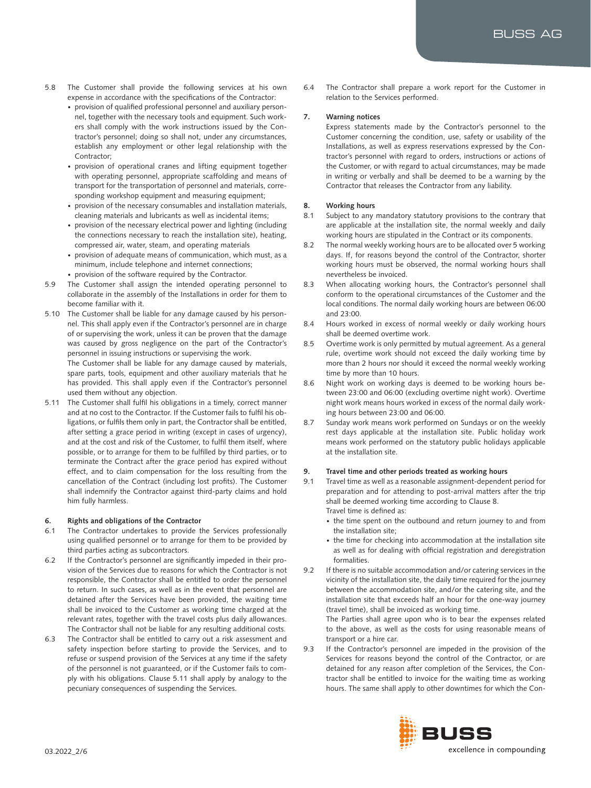- 5.8 The Customer shall provide the following services at his own expense in accordance with the specifications of the Contractor:
	- provision of qualified professional personnel and auxiliary personnel, together with the necessary tools and equipment. Such workers shall comply with the work instructions issued by the Contractor's personnel; doing so shall not, under any circumstances, establish any employment or other legal relationship with the Contractor;
	- provision of operational cranes and lifting equipment together with operating personnel, appropriate scaffolding and means of transport for the transportation of personnel and materials, corresponding workshop equipment and measuring equipment;
	- provision of the necessary consumables and installation materials, cleaning materials and lubricants as well as incidental items;
	- provision of the necessary electrical power and lighting (including the connections necessary to reach the installation site), heating, compressed air, water, steam, and operating materials
	- provision of adequate means of communication, which must, as a minimum, include telephone and internet connections;
	- provision of the software required by the Contractor.
- 5.9 The Customer shall assign the intended operating personnel to collaborate in the assembly of the Installations in order for them to become familiar with it.
- 5.10 The Customer shall be liable for any damage caused by his personnel. This shall apply even if the Contractor's personnel are in charge of or supervising the work, unless it can be proven that the damage was caused by gross negligence on the part of the Contractor's personnel in issuing instructions or supervising the work.

The Customer shall be liable for any damage caused by materials, spare parts, tools, equipment and other auxiliary materials that he has provided. This shall apply even if the Contractor's personnel used them without any objection.

5.11 The Customer shall fulfil his obligations in a timely, correct manner and at no cost to the Contractor. If the Customer fails to fulfil his obligations, or fulfils them only in part, the Contractor shall be entitled, after setting a grace period in writing (except in cases of urgency), and at the cost and risk of the Customer, to fulfil them itself, where possible, or to arrange for them to be fulfilled by third parties, or to terminate the Contract after the grace period has expired without effect, and to claim compensation for the loss resulting from the cancellation of the Contract (including lost profits). The Customer shall indemnify the Contractor against third-party claims and hold him fully harmless.

# **6. Rights and obligations of the Contractor**

- 6.1 The Contractor undertakes to provide the Services professionally using qualified personnel or to arrange for them to be provided by third parties acting as subcontractors.
- 6.2 If the Contractor's personnel are significantly impeded in their provision of the Services due to reasons for which the Contractor is not responsible, the Contractor shall be entitled to order the personnel to return. In such cases, as well as in the event that personnel are detained after the Services have been provided, the waiting time shall be invoiced to the Customer as working time charged at the relevant rates, together with the travel costs plus daily allowances. The Contractor shall not be liable for any resulting additional costs.
- 6.3 The Contractor shall be entitled to carry out a risk assessment and safety inspection before starting to provide the Services, and to refuse or suspend provision of the Services at any time if the safety of the personnel is not guaranteed, or if the Customer fails to comply with his obligations. Clause 5.11 shall apply by analogy to the pecuniary consequences of suspending the Services.

6.4 The Contractor shall prepare a work report for the Customer in relation to the Services performed.

# **7. Warning notices**

Express statements made by the Contractor's personnel to the Customer concerning the condition, use, safety or usability of the Installations, as well as express reservations expressed by the Contractor's personnel with regard to orders, instructions or actions of the Customer, or with regard to actual circumstances, may be made in writing or verbally and shall be deemed to be a warning by the Contractor that releases the Contractor from any liability.

# **8. Working hours**

- 8.1 Subject to any mandatory statutory provisions to the contrary that are applicable at the installation site, the normal weekly and daily working hours are stipulated in the Contract or its components.
- 8.2 The normal weekly working hours are to be allocated over 5 working days. If, for reasons beyond the control of the Contractor, shorter working hours must be observed, the normal working hours shall nevertheless be invoiced.
- 8.3 When allocating working hours, the Contractor's personnel shall conform to the operational circumstances of the Customer and the local conditions. The normal daily working hours are between 06:00 and 23:00.
- 8.4 Hours worked in excess of normal weekly or daily working hours shall be deemed overtime work.
- 8.5 Overtime work is only permitted by mutual agreement. As a general rule, overtime work should not exceed the daily working time by more than 2 hours nor should it exceed the normal weekly working time by more than 10 hours.
- 8.6 Night work on working days is deemed to be working hours between 23:00 and 06:00 (excluding overtime night work). Overtime night work means hours worked in excess of the normal daily working hours between 23:00 and 06:00.
- 8.7 Sunday work means work performed on Sundays or on the weekly rest days applicable at the installation site. Public holiday work means work performed on the statutory public holidays applicable at the installation site.

# **9. Travel time and other periods treated as working hours**

- 9.1 Travel time as well as a reasonable assignment-dependent period for preparation and for attending to post-arrival matters after the trip shall be deemed working time according to Clause 8. Travel time is defined as:
	- the time spent on the outbound and return journey to and from the installation site;
	- the time for checking into accommodation at the installation site as well as for dealing with official registration and deregistration formalities.
- 9.2 If there is no suitable accommodation and/or catering services in the vicinity of the installation site, the daily time required for the journey between the accommodation site, and/or the catering site, and the installation site that exceeds half an hour for the one-way journey (travel time), shall be invoiced as working time.

The Parties shall agree upon who is to bear the expenses related to the above, as well as the costs for using reasonable means of transport or a hire car.

9.3 If the Contractor's personnel are impeded in the provision of the Services for reasons beyond the control of the Contractor, or are detained for any reason after completion of the Services, the Contractor shall be entitled to invoice for the waiting time as working hours. The same shall apply to other downtimes for which the Con-

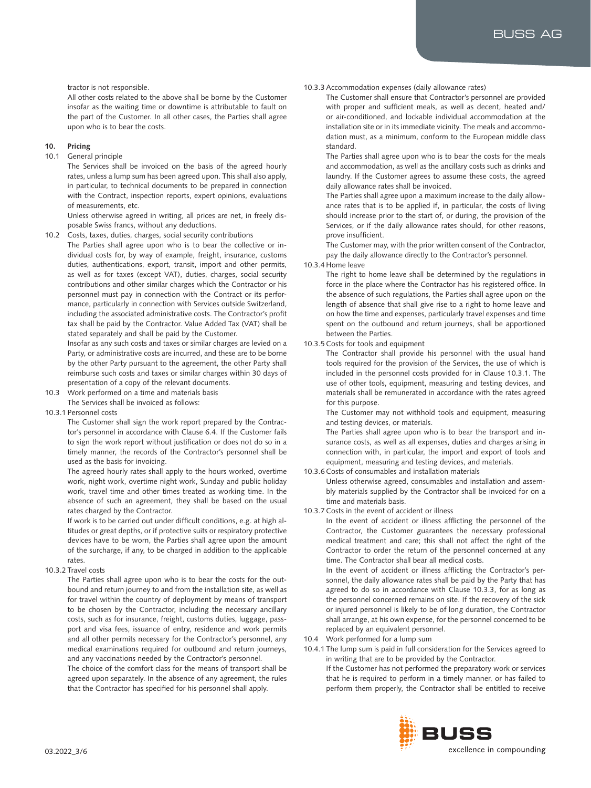tractor is not responsible.

All other costs related to the above shall be borne by the Customer insofar as the waiting time or downtime is attributable to fault on the part of the Customer. In all other cases, the Parties shall agree upon who is to bear the costs.

### **10. Pricing**

10.1 General principle

The Services shall be invoiced on the basis of the agreed hourly rates, unless a lump sum has been agreed upon. This shall also apply, in particular, to technical documents to be prepared in connection with the Contract, inspection reports, expert opinions, evaluations of measurements, etc.

Unless otherwise agreed in writing, all prices are net, in freely disposable Swiss francs, without any deductions.

- 10.2 Costs, taxes, duties, charges, social security contributions
- The Parties shall agree upon who is to bear the collective or individual costs for, by way of example, freight, insurance, customs duties, authentications, export, transit, import and other permits, as well as for taxes (except VAT), duties, charges, social security contributions and other similar charges which the Contractor or his personnel must pay in connection with the Contract or its performance, particularly in connection with Services outside Switzerland, including the associated administrative costs. The Contractor's profit tax shall be paid by the Contractor. Value Added Tax (VAT) shall be stated separately and shall be paid by the Customer.

Insofar as any such costs and taxes or similar charges are levied on a Party, or administrative costs are incurred, and these are to be borne by the other Party pursuant to the agreement, the other Party shall reimburse such costs and taxes or similar charges within 30 days of presentation of a copy of the relevant documents.

- 10.3 Work performed on a time and materials basis
- The Services shall be invoiced as follows:
- 10.3.1 Personnel costs

The Customer shall sign the work report prepared by the Contractor's personnel in accordance with Clause 6.4. If the Customer fails to sign the work report without justification or does not do so in a timely manner, the records of the Contractor's personnel shall be used as the basis for invoicing.

The agreed hourly rates shall apply to the hours worked, overtime work, night work, overtime night work, Sunday and public holiday work, travel time and other times treated as working time. In the absence of such an agreement, they shall be based on the usual rates charged by the Contractor.

If work is to be carried out under difficult conditions, e.g. at high altitudes or great depths, or if protective suits or respiratory protective devices have to be worn, the Parties shall agree upon the amount of the surcharge, if any, to be charged in addition to the applicable rates.

#### 10.3.2 Travel costs

The Parties shall agree upon who is to bear the costs for the outbound and return journey to and from the installation site, as well as for travel within the country of deployment by means of transport to be chosen by the Contractor, including the necessary ancillary costs, such as for insurance, freight, customs duties, luggage, passport and visa fees, issuance of entry, residence and work permits and all other permits necessary for the Contractor's personnel, any medical examinations required for outbound and return journeys, and any vaccinations needed by the Contractor's personnel.

The choice of the comfort class for the means of transport shall be agreed upon separately. In the absence of any agreement, the rules that the Contractor has specified for his personnel shall apply.

## 10.3.3 Accommodation expenses (daily allowance rates)

The Customer shall ensure that Contractor's personnel are provided with proper and sufficient meals, as well as decent, heated and/ or air-conditioned, and lockable individual accommodation at the installation site or in its immediate vicinity. The meals and accommodation must, as a minimum, conform to the European middle class standard.

The Parties shall agree upon who is to bear the costs for the meals and accommodation, as well as the ancillary costs such as drinks and laundry. If the Customer agrees to assume these costs, the agreed daily allowance rates shall be invoiced.

The Parties shall agree upon a maximum increase to the daily allowance rates that is to be applied if, in particular, the costs of living should increase prior to the start of, or during, the provision of the Services, or if the daily allowance rates should, for other reasons, prove insufficient.

The Customer may, with the prior written consent of the Contractor, pay the daily allowance directly to the Contractor's personnel.

#### 10.3.4 Home leave

The right to home leave shall be determined by the regulations in force in the place where the Contractor has his registered office. In the absence of such regulations, the Parties shall agree upon on the length of absence that shall give rise to a right to home leave and on how the time and expenses, particularly travel expenses and time spent on the outbound and return journeys, shall be apportioned between the Parties.

#### 10.3.5 Costs for tools and equipment

The Contractor shall provide his personnel with the usual hand tools required for the provision of the Services, the use of which is included in the personnel costs provided for in Clause 10.3.1. The use of other tools, equipment, measuring and testing devices, and materials shall be remunerated in accordance with the rates agreed for this purpose.

The Customer may not withhold tools and equipment, measuring and testing devices, or materials.

The Parties shall agree upon who is to bear the transport and insurance costs, as well as all expenses, duties and charges arising in connection with, in particular, the import and export of tools and equipment, measuring and testing devices, and materials.

#### 10.3.6 Costs of consumables and installation materials

Unless otherwise agreed, consumables and installation and assembly materials supplied by the Contractor shall be invoiced for on a time and materials basis.

10.3.7 Costs in the event of accident or illness

In the event of accident or illness afflicting the personnel of the Contractor, the Customer guarantees the necessary professional medical treatment and care; this shall not affect the right of the Contractor to order the return of the personnel concerned at any time. The Contractor shall bear all medical costs.

In the event of accident or illness afflicting the Contractor's personnel, the daily allowance rates shall be paid by the Party that has agreed to do so in accordance with Clause 10.3.3, for as long as the personnel concerned remains on site. If the recovery of the sick or injured personnel is likely to be of long duration, the Contractor shall arrange, at his own expense, for the personnel concerned to be replaced by an equivalent personnel.

- 10.4 Work performed for a lump sum
- 10.4.1 The lump sum is paid in full consideration for the Services agreed to in writing that are to be provided by the Contractor. If the Customer has not performed the preparatory work or services that he is required to perform in a timely manner, or has failed to perform them properly, the Contractor shall be entitled to receive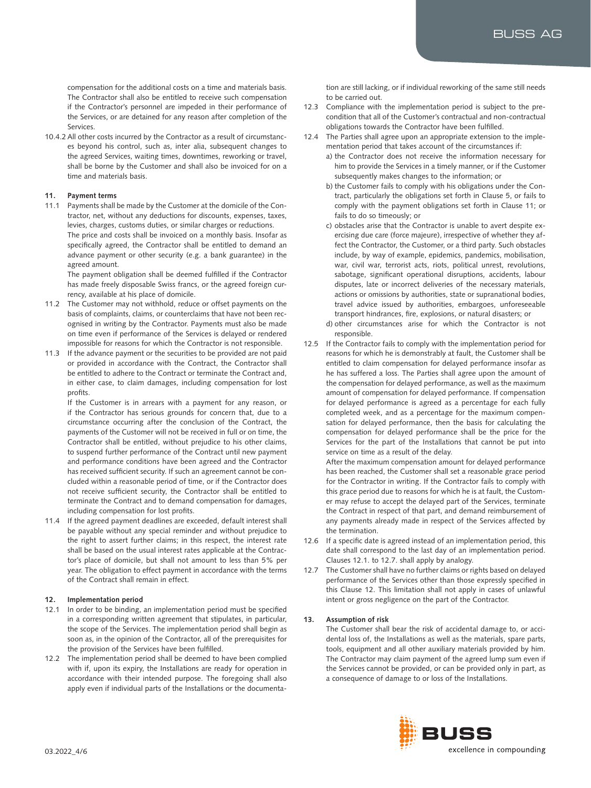compensation for the additional costs on a time and materials basis. The Contractor shall also be entitled to receive such compensation if the Contractor's personnel are impeded in their performance of the Services, or are detained for any reason after completion of the Services.

10.4.2 All other costs incurred by the Contractor as a result of circumstances beyond his control, such as, inter alia, subsequent changes to the agreed Services, waiting times, downtimes, reworking or travel, shall be borne by the Customer and shall also be invoiced for on a time and materials basis.

## **11. Payment terms**

11.1 Payments shall be made by the Customer at the domicile of the Contractor, net, without any deductions for discounts, expenses, taxes, levies, charges, customs duties, or similar charges or reductions. The price and costs shall be invoiced on a monthly basis. Insofar as specifically agreed, the Contractor shall be entitled to demand an advance payment or other security (e.g. a bank guarantee) in the agreed amount. The payment obligation shall be deemed fulfilled if the Contractor

has made freely disposable Swiss francs, or the agreed foreign currency, available at his place of domicile.

- 11.2 The Customer may not withhold, reduce or offset payments on the basis of complaints, claims, or counterclaims that have not been recognised in writing by the Contractor. Payments must also be made on time even if performance of the Services is delayed or rendered impossible for reasons for which the Contractor is not responsible.
- 11.3 If the advance payment or the securities to be provided are not paid or provided in accordance with the Contract, the Contractor shall be entitled to adhere to the Contract or terminate the Contract and, in either case, to claim damages, including compensation for lost profits.

If the Customer is in arrears with a payment for any reason, or if the Contractor has serious grounds for concern that, due to a circumstance occurring after the conclusion of the Contract, the payments of the Customer will not be received in full or on time, the Contractor shall be entitled, without prejudice to his other claims, to suspend further performance of the Contract until new payment and performance conditions have been agreed and the Contractor has received sufficient security. If such an agreement cannot be concluded within a reasonable period of time, or if the Contractor does not receive sufficient security, the Contractor shall be entitled to terminate the Contract and to demand compensation for damages, including compensation for lost profits.

11.4 If the agreed payment deadlines are exceeded, default interest shall be payable without any special reminder and without prejudice to the right to assert further claims; in this respect, the interest rate shall be based on the usual interest rates applicable at the Contractor's place of domicile, but shall not amount to less than 5% per year. The obligation to effect payment in accordance with the terms of the Contract shall remain in effect.

# **12. Implementation period**

- 12.1 In order to be binding, an implementation period must be specified in a corresponding written agreement that stipulates, in particular, the scope of the Services. The implementation period shall begin as soon as, in the opinion of the Contractor, all of the prerequisites for the provision of the Services have been fulfilled.
- 12.2 The implementation period shall be deemed to have been complied with if, upon its expiry, the Installations are ready for operation in accordance with their intended purpose. The foregoing shall also apply even if individual parts of the Installations or the documenta-

tion are still lacking, or if individual reworking of the same still needs to be carried out.

- 12.3 Compliance with the implementation period is subject to the precondition that all of the Customer's contractual and non-contractual obligations towards the Contractor have been fulfilled.
- 12.4 The Parties shall agree upon an appropriate extension to the implementation period that takes account of the circumstances if:
	- a) the Contractor does not receive the information necessary for him to provide the Services in a timely manner, or if the Customer subsequently makes changes to the information; or
	- b) the Customer fails to comply with his obligations under the Contract, particularly the obligations set forth in Clause 5, or fails to comply with the payment obligations set forth in Clause 11; or fails to do so timeously; or
	- c) obstacles arise that the Contractor is unable to avert despite exercising due care (force majeure), irrespective of whether they affect the Contractor, the Customer, or a third party. Such obstacles include, by way of example, epidemics, pandemics, mobilisation, war, civil war, terrorist acts, riots, political unrest, revolutions, sabotage, significant operational disruptions, accidents, labour disputes, late or incorrect deliveries of the necessary materials, actions or omissions by authorities, state or supranational bodies, travel advice issued by authorities, embargoes, unforeseeable transport hindrances, fire, explosions, or natural disasters; or
	- d) other circumstances arise for which the Contractor is not responsible.
- 12.5 If the Contractor fails to comply with the implementation period for reasons for which he is demonstrably at fault, the Customer shall be entitled to claim compensation for delayed performance insofar as he has suffered a loss. The Parties shall agree upon the amount of the compensation for delayed performance, as well as the maximum amount of compensation for delayed performance. If compensation for delayed performance is agreed as a percentage for each fully completed week, and as a percentage for the maximum compensation for delayed performance, then the basis for calculating the compensation for delayed performance shall be the price for the Services for the part of the Installations that cannot be put into service on time as a result of the delay.

After the maximum compensation amount for delayed performance has been reached, the Customer shall set a reasonable grace period for the Contractor in writing. If the Contractor fails to comply with this grace period due to reasons for which he is at fault, the Customer may refuse to accept the delayed part of the Services, terminate the Contract in respect of that part, and demand reimbursement of any payments already made in respect of the Services affected by the termination.

- 12.6 If a specific date is agreed instead of an implementation period, this date shall correspond to the last day of an implementation period. Clauses 12.1. to 12.7. shall apply by analogy.
- 12.7 The Customer shall have no further claims or rights based on delayed performance of the Services other than those expressly specified in this Clause 12. This limitation shall not apply in cases of unlawful intent or gross negligence on the part of the Contractor.

# **13. Assumption of risk**

The Customer shall bear the risk of accidental damage to, or accidental loss of, the Installations as well as the materials, spare parts, tools, equipment and all other auxiliary materials provided by him. The Contractor may claim payment of the agreed lump sum even if the Services cannot be provided, or can be provided only in part, as a consequence of damage to or loss of the Installations.

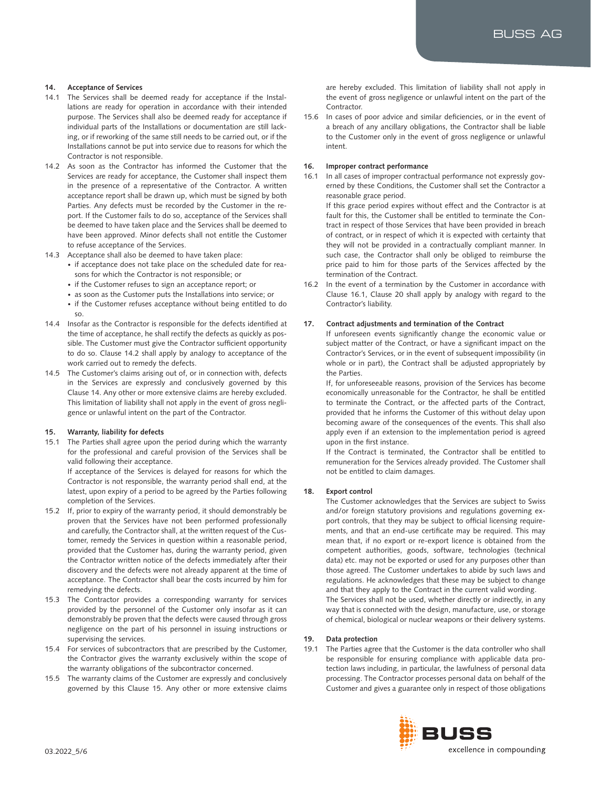## **14. Acceptance of Services**

- 14.1 The Services shall be deemed ready for acceptance if the Installations are ready for operation in accordance with their intended purpose. The Services shall also be deemed ready for acceptance if individual parts of the Installations or documentation are still lacking, or if reworking of the same still needs to be carried out, or if the Installations cannot be put into service due to reasons for which the Contractor is not responsible.
- 14.2 As soon as the Contractor has informed the Customer that the Services are ready for acceptance, the Customer shall inspect them in the presence of a representative of the Contractor. A written acceptance report shall be drawn up, which must be signed by both Parties. Any defects must be recorded by the Customer in the report. If the Customer fails to do so, acceptance of the Services shall be deemed to have taken place and the Services shall be deemed to have been approved. Minor defects shall not entitle the Customer to refuse acceptance of the Services.
- 14.3 Acceptance shall also be deemed to have taken place:
	- if acceptance does not take place on the scheduled date for reasons for which the Contractor is not responsible; or
	- if the Customer refuses to sign an acceptance report; or
	- as soon as the Customer puts the Installations into service; or
	- if the Customer refuses acceptance without being entitled to do so.
- 14.4 Insofar as the Contractor is responsible for the defects identified at the time of acceptance, he shall rectify the defects as quickly as possible. The Customer must give the Contractor sufficient opportunity to do so. Clause 14.2 shall apply by analogy to acceptance of the work carried out to remedy the defects.
- 14.5 The Customer's claims arising out of, or in connection with, defects in the Services are expressly and conclusively governed by this Clause 14. Any other or more extensive claims are hereby excluded. This limitation of liability shall not apply in the event of gross negligence or unlawful intent on the part of the Contractor.

## **15. Warranty, liability for defects**

15.1 The Parties shall agree upon the period during which the warranty for the professional and careful provision of the Services shall be valid following their acceptance.

If acceptance of the Services is delayed for reasons for which the Contractor is not responsible, the warranty period shall end, at the latest, upon expiry of a period to be agreed by the Parties following completion of the Services.

- 15.2 If, prior to expiry of the warranty period, it should demonstrably be proven that the Services have not been performed professionally and carefully, the Contractor shall, at the written request of the Customer, remedy the Services in question within a reasonable period, provided that the Customer has, during the warranty period, given the Contractor written notice of the defects immediately after their discovery and the defects were not already apparent at the time of acceptance. The Contractor shall bear the costs incurred by him for remedying the defects.
- 15.3 The Contractor provides a corresponding warranty for services provided by the personnel of the Customer only insofar as it can demonstrably be proven that the defects were caused through gross negligence on the part of his personnel in issuing instructions or supervising the services.
- 15.4 For services of subcontractors that are prescribed by the Customer, the Contractor gives the warranty exclusively within the scope of the warranty obligations of the subcontractor concerned.
- 15.5 The warranty claims of the Customer are expressly and conclusively governed by this Clause 15. Any other or more extensive claims

are hereby excluded. This limitation of liability shall not apply in the event of gross negligence or unlawful intent on the part of the Contractor.

15.6 In cases of poor advice and similar deficiencies, or in the event of a breach of any ancillary obligations, the Contractor shall be liable to the Customer only in the event of gross negligence or unlawful intent.

## **16. Improper contract performance**

16.1 In all cases of improper contractual performance not expressly governed by these Conditions, the Customer shall set the Contractor a reasonable grace period.

If this grace period expires without effect and the Contractor is at fault for this, the Customer shall be entitled to terminate the Contract in respect of those Services that have been provided in breach of contract, or in respect of which it is expected with certainty that they will not be provided in a contractually compliant manner. In such case, the Contractor shall only be obliged to reimburse the price paid to him for those parts of the Services affected by the termination of the Contract.

16.2 In the event of a termination by the Customer in accordance with Clause 16.1, Clause 20 shall apply by analogy with regard to the Contractor's liability.

# **17. Contract adjustments and termination of the Contract**

If unforeseen events significantly change the economic value or subject matter of the Contract, or have a significant impact on the Contractor's Services, or in the event of subsequent impossibility (in whole or in part), the Contract shall be adjusted appropriately by the Parties.

If, for unforeseeable reasons, provision of the Services has become economically unreasonable for the Contractor, he shall be entitled to terminate the Contract, or the affected parts of the Contract, provided that he informs the Customer of this without delay upon becoming aware of the consequences of the events. This shall also apply even if an extension to the implementation period is agreed upon in the first instance.

If the Contract is terminated, the Contractor shall be entitled to remuneration for the Services already provided. The Customer shall not be entitled to claim damages.

## **18. Export control**

The Customer acknowledges that the Services are subject to Swiss and/or foreign statutory provisions and regulations governing export controls, that they may be subject to official licensing requirements, and that an end-use certificate may be required. This may mean that, if no export or re-export licence is obtained from the competent authorities, goods, software, technologies (technical data) etc. may not be exported or used for any purposes other than those agreed. The Customer undertakes to abide by such laws and regulations. He acknowledges that these may be subject to change and that they apply to the Contract in the current valid wording. The Services shall not be used, whether directly or indirectly, in any way that is connected with the design, manufacture, use, or storage of chemical, biological or nuclear weapons or their delivery systems.

## **19. Data protection**

19.1 The Parties agree that the Customer is the data controller who shall be responsible for ensuring compliance with applicable data protection laws including, in particular, the lawfulness of personal data processing. The Contractor processes personal data on behalf of the Customer and gives a guarantee only in respect of those obligations